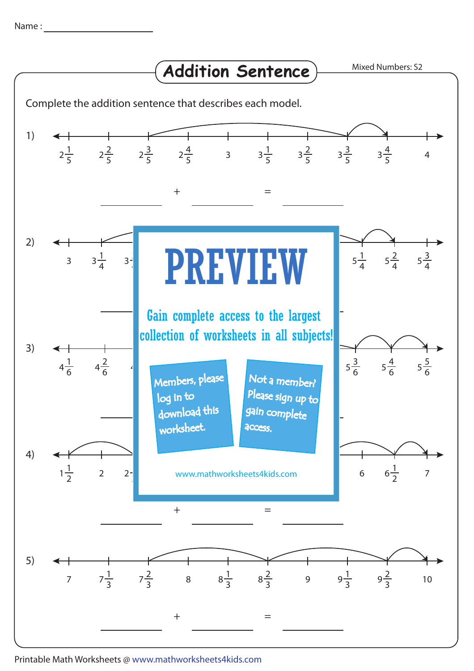